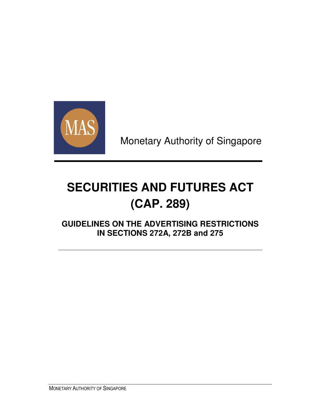

Monetary Authority of Singapore

# **SECURITIES AND FUTURES ACT (CAP. 289)**

**GUIDELINES ON THE ADVERTISING RESTRICTIONS IN SECTIONS 272A, 272B and 275**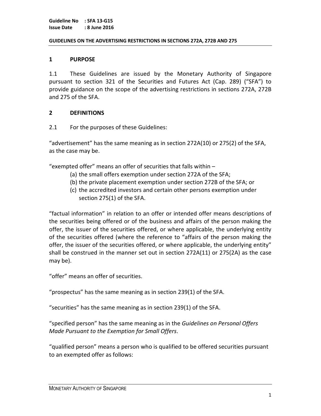#### GUIDELINES ON THE ADVERTISING RESTRICTIONS IN SECTIONS 272A, 272B AND 275

#### 1 PURPOSE

1.1 These Guidelines are issued by the Monetary Authority of Singapore pursuant to section 321 of the Securities and Futures Act (Cap. 289) ("SFA") to provide guidance on the scope of the advertising restrictions in sections 272A, 272B and 275 of the SFA.

#### 2 DEFINITIONS

2.1 For the purposes of these Guidelines:

"advertisement" has the same meaning as in section 272A(10) or 275(2) of the SFA, as the case may be.

"exempted offer" means an offer of securities that falls within –

- (a) the small offers exemption under section 272A of the SFA;
- (b) the private placement exemption under section 272B of the SFA; or
- (c) the accredited investors and certain other persons exemption under section 275(1) of the SFA.

"factual information" in relation to an offer or intended offer means descriptions of the securities being offered or of the business and affairs of the person making the offer, the issuer of the securities offered, or where applicable, the underlying entity of the securities offered (where the reference to "affairs of the person making the offer, the issuer of the securities offered, or where applicable, the underlying entity" shall be construed in the manner set out in section 272A(11) or 275(2A) as the case may be).

"offer" means an offer of securities.

"prospectus" has the same meaning as in section 239(1) of the SFA.

"securities" has the same meaning as in section 239(1) of the SFA.

"specified person" has the same meaning as in the Guidelines on Personal Offers Made Pursuant to the Exemption for Small Offers.

"qualified person" means a person who is qualified to be offered securities pursuant to an exempted offer as follows: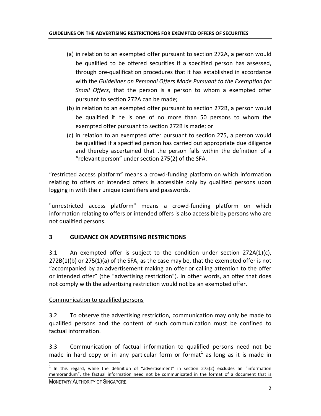- (a) in relation to an exempted offer pursuant to section 272A, a person would be qualified to be offered securities if a specified person has assessed, through pre-qualification procedures that it has established in accordance with the Guidelines on Personal Offers Made Pursuant to the Exemption for Small Offers, that the person is a person to whom a exempted offer pursuant to section 272A can be made;
- (b) in relation to an exempted offer pursuant to section 272B, a person would be qualified if he is one of no more than 50 persons to whom the exempted offer pursuant to section 272B is made; or
- (c) in relation to an exempted offer pursuant to section 275, a person would be qualified if a specified person has carried out appropriate due diligence and thereby ascertained that the person falls within the definition of a "relevant person" under section 275(2) of the SFA.

"restricted access platform" means a crowd-funding platform on which information relating to offers or intended offers is accessible only by qualified persons upon logging in with their unique identifiers and passwords.

"unrestricted access platform" means a crowd-funding platform on which information relating to offers or intended offers is also accessible by persons who are not qualified persons.

# 3 GUIDANCE ON ADVERTISING RESTRICTIONS

3.1 An exempted offer is subject to the condition under section  $272A(1)(c)$ ,  $272B(1)(b)$  or  $275(1)(a)$  of the SFA, as the case may be, that the exempted offer is not "accompanied by an advertisement making an offer or calling attention to the offer or intended offer" (the "advertising restriction"). In other words, an offer that does not comply with the advertising restriction would not be an exempted offer.

# Communication to qualified persons

1

3.2 To observe the advertising restriction, communication may only be made to qualified persons and the content of such communication must be confined to factual information.

3.3 Communication of factual information to qualified persons need not be made in hard copy or in any particular form or format<sup>1</sup> as long as it is made in

MONETARY AUTHORITY OF SINGAPORE  $1$  In this regard, while the definition of "advertisement" in section 275(2) excludes an "information memorandum", the factual information need not be communicated in the format of a document that is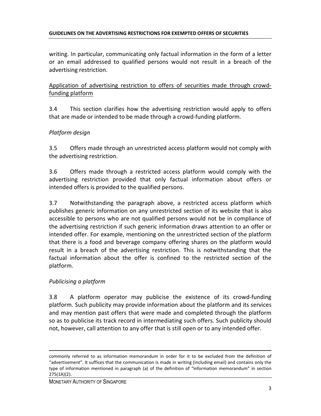writing. In particular, communicating only factual information in the form of a letter or an email addressed to qualified persons would not result in a breach of the advertising restriction.

Application of advertising restriction to offers of securities made through crowdfunding platform

3.4 This section clarifies how the advertising restriction would apply to offers that are made or intended to be made through a crowd-funding platform.

# Platform design

3.5 Offers made through an unrestricted access platform would not comply with the advertising restriction.

3.6 Offers made through a restricted access platform would comply with the advertising restriction provided that only factual information about offers or intended offers is provided to the qualified persons.

3.7 Notwithstanding the paragraph above, a restricted access platform which publishes generic information on any unrestricted section of its website that is also accessible to persons who are not qualified persons would not be in compliance of the advertising restriction if such generic information draws attention to an offer or intended offer. For example, mentioning on the unrestricted section of the platform that there is a food and beverage company offering shares on the platform would result in a breach of the advertising restriction. This is notwithstanding that the factual information about the offer is confined to the restricted section of the platform.

# Publicising a platform

l

3.8 A platform operator may publicise the existence of its crowd-funding platform. Such publicity may provide information about the platform and its services and may mention past offers that were made and completed through the platform so as to publicise its track record in intermediating such offers. Such publicity should not, however, call attention to any offer that is still open or to any intended offer.

commonly referred to as information memorandum in order for it to be excluded from the definition of "advertisement". It suffices that the communication is made in writing (including email) and contains only the type of information mentioned in paragraph (a) of the definition of "information memorandum" in section 275(1A)(2).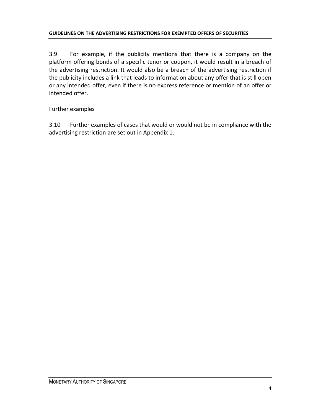3.9 For example, if the publicity mentions that there is a company on the platform offering bonds of a specific tenor or coupon, it would result in a breach of the advertising restriction. It would also be a breach of the advertising restriction if the publicity includes a link that leads to information about any offer that is still open or any intended offer, even if there is no express reference or mention of an offer or intended offer.

# Further examples

3.10 Further examples of cases that would or would not be in compliance with the advertising restriction are set out in Appendix 1.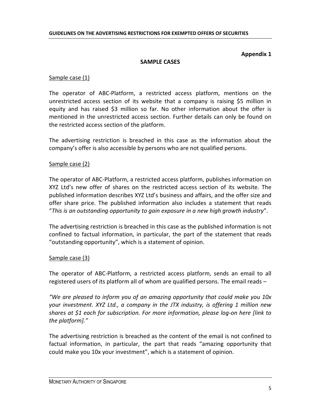#### Appendix 1

#### SAMPLE CASES

#### Sample case (1)

The operator of ABC-Platform, a restricted access platform, mentions on the unrestricted access section of its website that a company is raising \$5 million in equity and has raised \$3 million so far. No other information about the offer is mentioned in the unrestricted access section. Further details can only be found on the restricted access section of the platform.

The advertising restriction is breached in this case as the information about the company's offer is also accessible by persons who are not qualified persons.

#### Sample case (2)

The operator of ABC-Platform, a restricted access platform, publishes information on XYZ Ltd's new offer of shares on the restricted access section of its website. The published information describes XYZ Ltd's business and affairs, and the offer size and offer share price. The published information also includes a statement that reads "This is an outstanding opportunity to gain exposure in a new high growth industry".

The advertising restriction is breached in this case as the published information is not confined to factual information, in particular, the part of the statement that reads "outstanding opportunity", which is a statement of opinion.

## Sample case (3)

The operator of ABC-Platform, a restricted access platform, sends an email to all registered users of its platform all of whom are qualified persons. The email reads –

"We are pleased to inform you of an amazing opportunity that could make you 10x your investment. XYZ Ltd., a company in the JTX industry, is offering 1 million new shares at \$1 each for subscription. For more information, please log-on here [link to the platform]."

The advertising restriction is breached as the content of the email is not confined to factual information, in particular, the part that reads "amazing opportunity that could make you 10x your investment", which is a statement of opinion.